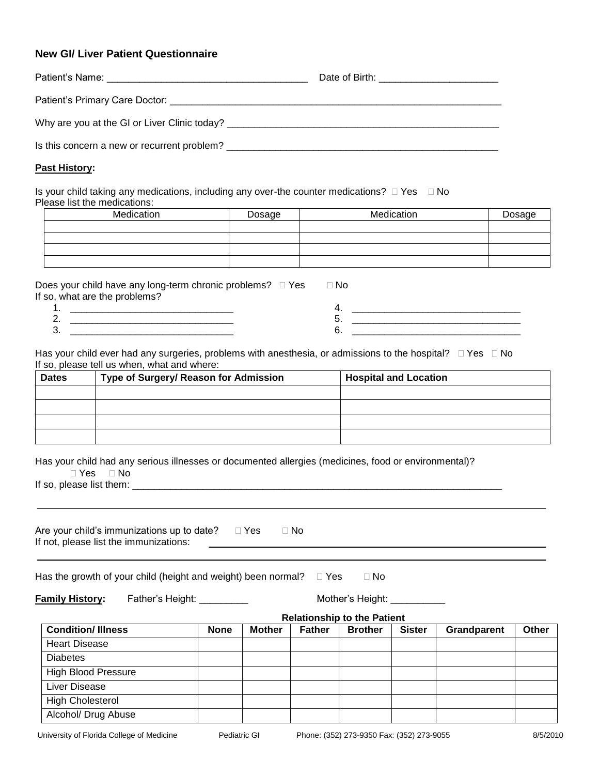## **New GI/ Liver Patient Questionnaire**

#### **Past History:**

Is your child taking any medications, including any over-the counter medications?  $\Box$  Yes  $\Box$  No Please list the medications:

| Medication | Dosage | Medication | Dosage |
|------------|--------|------------|--------|
|            |        |            |        |
|            |        |            |        |
|            |        |            |        |
|            |        |            |        |

| Does your child have any long-term chronic problems? □ Yes | No. |  |
|------------------------------------------------------------|-----|--|
| If so, what are the problems?                              |     |  |
|                                                            |     |  |
|                                                            | ັ   |  |
| J.                                                         |     |  |
|                                                            |     |  |

Has your child ever had any surgeries, problems with anesthesia, or admissions to the hospital?  $\Box$  Yes  $\Box$  No If so, please tell us when, what and where:

| <b>Dates</b> | Type of Surgery/ Reason for Admission | <b>Hospital and Location</b> |
|--------------|---------------------------------------|------------------------------|
|              |                                       |                              |
|              |                                       |                              |
|              |                                       |                              |
|              |                                       |                              |

Has your child had any serious illnesses or documented allergies (medicines, food or environmental)?

 $\Box$  Yes  $\Box$  No

If so, please list them: \_\_\_\_\_\_\_\_\_\_\_\_\_\_\_\_\_\_\_\_\_\_\_\_\_\_\_\_\_\_\_\_\_\_\_\_\_\_\_\_\_\_\_\_\_\_\_\_\_\_\_\_\_\_\_\_\_\_\_\_\_\_\_\_\_\_\_\_

| Are your child's immunizations up to date? | ⊟ Yes | ⊓ No |  |  |
|--------------------------------------------|-------|------|--|--|
| If not, please list the immunizations:     |       |      |  |  |

Has the growth of your child (height and weight) been normal?  $\Box$  Yes  $\Box$  No

| <b>Family History:</b> |  |
|------------------------|--|
|------------------------|--|

**Father's Height: \_\_\_\_\_\_\_\_\_\_\_ Mother's Height: \_\_\_\_\_\_\_\_\_\_\_** 

| <b>Relationship to the Patient</b> |             |               |               |                |               |             |       |
|------------------------------------|-------------|---------------|---------------|----------------|---------------|-------------|-------|
| <b>Condition/Illness</b>           | <b>None</b> | <b>Mother</b> | <b>Father</b> | <b>Brother</b> | <b>Sister</b> | Grandparent | Other |
| <b>Heart Disease</b>               |             |               |               |                |               |             |       |
| <b>Diabetes</b>                    |             |               |               |                |               |             |       |
| <b>High Blood Pressure</b>         |             |               |               |                |               |             |       |
| Liver Disease                      |             |               |               |                |               |             |       |
| <b>High Cholesterol</b>            |             |               |               |                |               |             |       |
| Alcohol/ Drug Abuse                |             |               |               |                |               |             |       |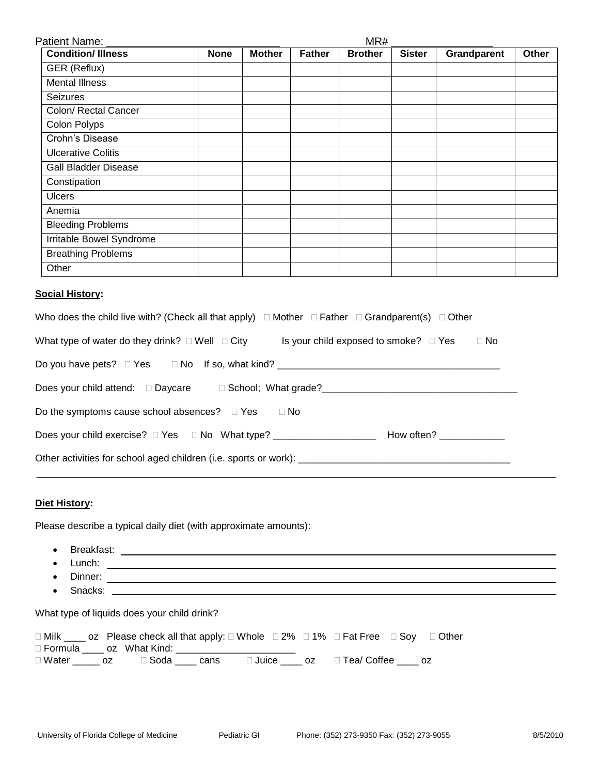| Patient Name: ___           |             | MR#           |               |                |               |             |       |  |
|-----------------------------|-------------|---------------|---------------|----------------|---------------|-------------|-------|--|
| <b>Condition/Illness</b>    | <b>None</b> | <b>Mother</b> | <b>Father</b> | <b>Brother</b> | <b>Sister</b> | Grandparent | Other |  |
| GER (Reflux)                |             |               |               |                |               |             |       |  |
| <b>Mental Illness</b>       |             |               |               |                |               |             |       |  |
| Seizures                    |             |               |               |                |               |             |       |  |
| Colon/ Rectal Cancer        |             |               |               |                |               |             |       |  |
| Colon Polyps                |             |               |               |                |               |             |       |  |
| Crohn's Disease             |             |               |               |                |               |             |       |  |
| <b>Ulcerative Colitis</b>   |             |               |               |                |               |             |       |  |
| <b>Gall Bladder Disease</b> |             |               |               |                |               |             |       |  |
| Constipation                |             |               |               |                |               |             |       |  |
| <b>Ulcers</b>               |             |               |               |                |               |             |       |  |
| Anemia                      |             |               |               |                |               |             |       |  |
| <b>Bleeding Problems</b>    |             |               |               |                |               |             |       |  |
| Irritable Bowel Syndrome    |             |               |               |                |               |             |       |  |
| <b>Breathing Problems</b>   |             |               |               |                |               |             |       |  |
| Other                       |             |               |               |                |               |             |       |  |

#### **Social History:**

| Who does the child live with? (Check all that apply) $\Box$ Mother $\Box$ Father $\Box$ Grandparent(s) $\Box$ Other |            |
|---------------------------------------------------------------------------------------------------------------------|------------|
| What type of water do they drink? $\Box$ Well $\Box$ City<br>Is your child exposed to smoke? □ Yes                  | $\Box$ No  |
|                                                                                                                     |            |
|                                                                                                                     |            |
| Do the symptoms cause school absences? $\Box$ Yes $\Box$ No                                                         |            |
| Does your child exercise? $\Box$ Yes $\Box$ No What type?                                                           | How often? |
|                                                                                                                     |            |

## **Diet History:**

Please describe a typical daily diet (with approximate amounts):

- Breakfast:
- Lunch:
- Dinner:
- Snacks:

What type of liquids does your child drink?

|  | □ Milk _____ oz Please check all that apply: □ Whole □ 2% □ 1% □ Fat Free □ Soy □ Other |  |  |  |  |
|--|-----------------------------------------------------------------------------------------|--|--|--|--|
|  |                                                                                         |  |  |  |  |
|  | □ Water _____ oz    □ Soda ____ cans    □ Juice ____ oz    □ Tea/ Coffee ____ oz        |  |  |  |  |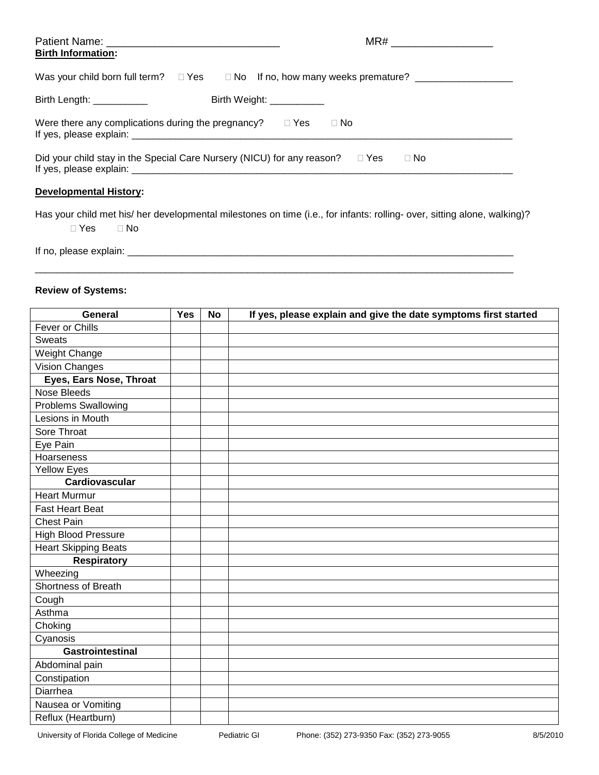| <b>Birth Information:</b>                                        |                                                                                                                |
|------------------------------------------------------------------|----------------------------------------------------------------------------------------------------------------|
|                                                                  | Was your child born full term? $\square$ Yes $\square$ No If no, how many weeks premature? ___________________ |
| Birth Length: ___________                                        | Birth Weight: ___________                                                                                      |
| Were there any complications during the pregnancy? $\square$ Yes | $\Box$ No                                                                                                      |
|                                                                  | Did your child stay in the Special Care Nursery (NICU) for any reason? $\square$ Yes<br>$\Box$ No              |

# **Developmental History:**

Has your child met his/ her developmental milestones on time (i.e., for infants: rolling- over, sitting alone, walking)?  $\Box$  Yes  $\Box$  No

\_\_\_\_\_\_\_\_\_\_\_\_\_\_\_\_\_\_\_\_\_\_\_\_\_\_\_\_\_\_\_\_\_\_\_\_\_\_\_\_\_\_\_\_\_\_\_\_\_\_\_\_\_\_\_\_\_\_\_\_\_\_\_\_\_\_\_\_\_\_\_\_\_\_\_\_\_\_\_\_\_\_\_\_\_\_\_\_

If no, please explain: \_\_\_\_\_\_\_\_\_\_\_\_\_\_\_\_\_\_\_\_\_\_\_\_\_\_\_\_\_\_\_\_\_\_\_\_\_\_\_\_\_\_\_\_\_\_\_\_\_\_\_\_\_\_\_\_\_\_\_\_\_\_\_\_\_\_\_\_\_\_\_

## **Review of Systems:**

| General                     | <b>Yes</b> | <b>No</b> | If yes, please explain and give the date symptoms first started |
|-----------------------------|------------|-----------|-----------------------------------------------------------------|
| Fever or Chills             |            |           |                                                                 |
| <b>Sweats</b>               |            |           |                                                                 |
| Weight Change               |            |           |                                                                 |
| Vision Changes              |            |           |                                                                 |
| Eyes, Ears Nose, Throat     |            |           |                                                                 |
| <b>Nose Bleeds</b>          |            |           |                                                                 |
| <b>Problems Swallowing</b>  |            |           |                                                                 |
| Lesions in Mouth            |            |           |                                                                 |
| Sore Throat                 |            |           |                                                                 |
| Eye Pain                    |            |           |                                                                 |
| Hoarseness                  |            |           |                                                                 |
| <b>Yellow Eyes</b>          |            |           |                                                                 |
| Cardiovascular              |            |           |                                                                 |
| <b>Heart Murmur</b>         |            |           |                                                                 |
| <b>Fast Heart Beat</b>      |            |           |                                                                 |
| <b>Chest Pain</b>           |            |           |                                                                 |
| <b>High Blood Pressure</b>  |            |           |                                                                 |
| <b>Heart Skipping Beats</b> |            |           |                                                                 |
| <b>Respiratory</b>          |            |           |                                                                 |
| Wheezing                    |            |           |                                                                 |
| Shortness of Breath         |            |           |                                                                 |
| Cough                       |            |           |                                                                 |
| Asthma                      |            |           |                                                                 |
| Choking                     |            |           |                                                                 |
| Cyanosis                    |            |           |                                                                 |
| <b>Gastrointestinal</b>     |            |           |                                                                 |
| Abdominal pain              |            |           |                                                                 |
| Constipation                |            |           |                                                                 |
| Diarrhea                    |            |           |                                                                 |
| Nausea or Vomiting          |            |           |                                                                 |
| Reflux (Heartburn)          |            |           |                                                                 |